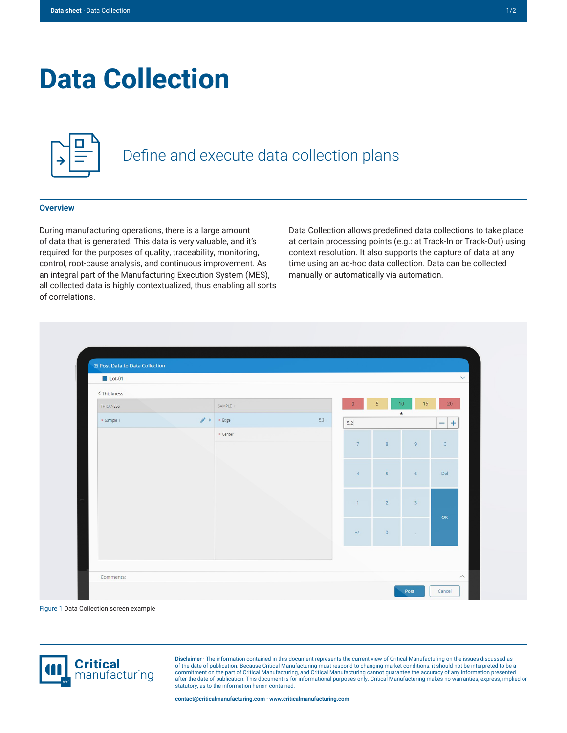# **Data Collection**

|--|--|--|

## Define and execute data collection plans

#### **Overview**

During manufacturing operations, there is a large amount of data that is generated. This data is very valuable, and it's required for the purposes of quality, traceability, monitoring, control, root-cause analysis, and continuous improvement. As an integral part of the Manufacturing Execution System (MES), all collected data is highly contextualized, thus enabling all sorts of correlations.

Data Collection allows predefined data collections to take place at certain processing points (e.g.: at Track-In or Track-Out) using context resolution. It also supports the capture of data at any time using an ad-hoc data collection. Data can be collected manually or automatically via automation.

| $\blacksquare$ Lot-01                                                                 |                      |     |                |                                          |                         | $\checkmark$               |
|---------------------------------------------------------------------------------------|----------------------|-----|----------------|------------------------------------------|-------------------------|----------------------------|
| <thickness< th=""><th></th><th></th><th></th><th></th><th></th><th></th></thickness<> |                      |     |                |                                          |                         |                            |
| THICKNESS                                                                             | SAMPLE 1             |     | $\overline{0}$ | $\overline{5}$<br>10<br>$\blacktriangle$ | 15                      | 20 <sub>2</sub>            |
| * Sample 1                                                                            | $\bullet$ > $*$ Edge | 5.2 | 5.2            |                                          |                         | $\pm$<br>$\qquad \qquad -$ |
|                                                                                       | * Center             |     |                |                                          |                         |                            |
|                                                                                       |                      |     | 7              | $\mathbf{8}$                             | $\overline{9}$          | $\mathsf{C}$               |
|                                                                                       |                      |     |                |                                          |                         |                            |
|                                                                                       |                      |     | $\overline{4}$ | 5 <sup>1</sup>                           | 6                       | Del                        |
|                                                                                       |                      |     |                |                                          |                         |                            |
|                                                                                       |                      |     | $\overline{1}$ | $\overline{2}$                           | $\overline{\mathbf{3}}$ |                            |
|                                                                                       |                      |     |                |                                          |                         | OK                         |
|                                                                                       |                      |     | $+/-$          | $\circ$                                  | $\sim 10^{-1}$          |                            |
|                                                                                       |                      |     |                |                                          |                         |                            |
|                                                                                       |                      |     |                |                                          |                         |                            |

Figure 1 Data Collection screen example



**Disclaimer** · The information contained in this document represents the current view of Critical Manufacturing on the issues discussed as of the date of publication. Because Critical Manufacturing must respond to changing market conditions, it should not be interpreted to be a<br>commitment on the part of Critical Manufacturing, and Critical Manufacturing canno statutory, as to the information herein contained.